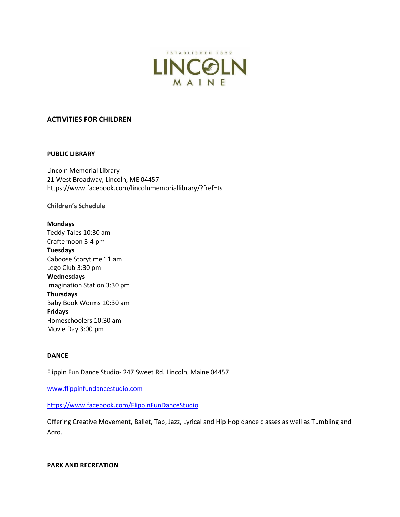

## **ACTIVITIES FOR CHILDREN**

#### **PUBLIC LIBRARY**

Lincoln Memorial Library 21 West Broadway, Lincoln, ME 04457 https://www.facebook.com/lincolnmemoriallibrary/?fref=ts

**Children's Schedule**

# **Mondays** Teddy Tales 10:30 am Crafternoon 3-4 pm **Tuesdays** Caboose Storytime 11 am Lego Club 3:30 pm **Wednesdays**  Imagination Station 3:30 pm **Thursdays** Baby Book Worms 10:30 am **Fridays** Homeschoolers 10:30 am Movie Day 3:00 pm

#### **DANCE**

Flippin Fun Dance Studio- 247 Sweet Rd. Lincoln, Maine 04457

[www.flippinfundancestudio.com](http://www.flippinfundancestudio.com/)

<https://www.facebook.com/FlippinFunDanceStudio>

Offering Creative Movement, Ballet, Tap, Jazz, Lyrical and Hip Hop dance classes as well as Tumbling and Acro.

#### **PARK AND RECREATION**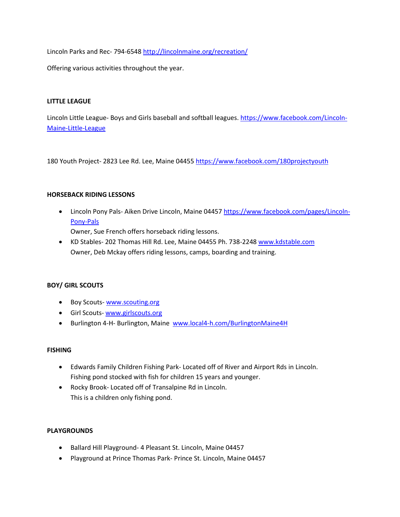Lincoln Parks and Rec- 794-6548 <http://lincolnmaine.org/recreation/>

Offering various activities throughout the year.

## **LITTLE LEAGUE**

Lincoln Little League- Boys and Girls baseball and softball leagues. [https://www.facebook.com/Lincoln-](https://www.facebook.com/Lincoln-Maine-Little-League)[Maine-Little-League](https://www.facebook.com/Lincoln-Maine-Little-League)

180 Youth Project- 2823 Lee Rd. Lee, Maine 04455 <https://www.facebook.com/180projectyouth>

## **HORSEBACK RIDING LESSONS**

• Lincoln Pony Pals- Aiken Drive Lincoln, Maine 04457 [https://www.facebook.com/pages/Lincoln-](https://www.facebook.com/pages/Lincoln-Pony-Pals)[Pony-Pals](https://www.facebook.com/pages/Lincoln-Pony-Pals)

Owner, Sue French offers horseback riding lessons.

 KD Stables- 202 Thomas Hill Rd. Lee, Maine 04455 Ph. 738-2248 [www.kdstable.com](http://www.kdstable.com/) Owner, Deb Mckay offers riding lessons, camps, boarding and training.

# **BOY/ GIRL SCOUTS**

- Boy Scouts- [www.scouting.org](http://www.scouting.org/)
- **Girl Scouts- [www.girlscouts.org](http://www.girlscouts.org/)**
- Burlington 4-H- Burlington, Maine [www.local4-h.com/BurlingtonMaine4H](http://www.local4-h.com/BurlingtonMaine4H)

## **FISHING**

- Edwards Family Children Fishing Park- Located off of River and Airport Rds in Lincoln. Fishing pond stocked with fish for children 15 years and younger.
- Rocky Brook- Located off of Transalpine Rd in Lincoln. This is a children only fishing pond.

## **PLAYGROUNDS**

- Ballard Hill Playground- 4 Pleasant St. Lincoln, Maine 04457
- Playground at Prince Thomas Park- Prince St. Lincoln, Maine 04457